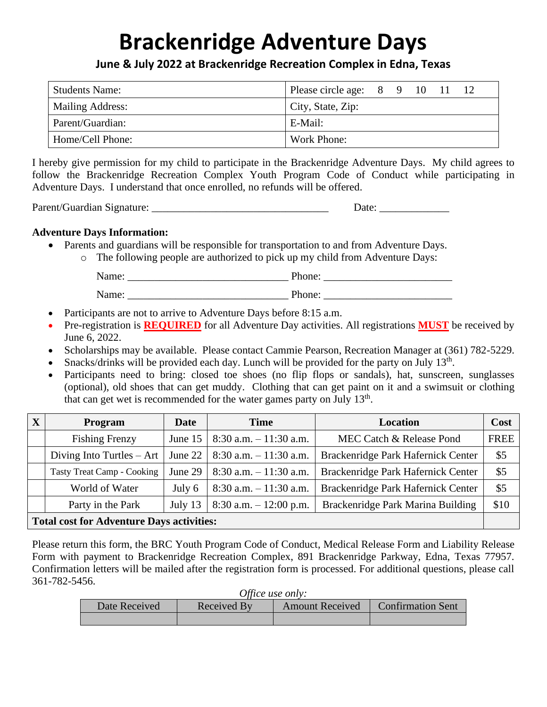# **Brackenridge Adventure Days**

**June & July 2022 at Brackenridge Recreation Complex in Edna, Texas**

| <b>Students Name:</b> | Please circle age: 8 9 10 11 |  |  |  |  |
|-----------------------|------------------------------|--|--|--|--|
| Mailing Address:      | City, State, Zip:            |  |  |  |  |
| Parent/Guardian:      | E-Mail:                      |  |  |  |  |
| Home/Cell Phone:      | Work Phone:                  |  |  |  |  |

I hereby give permission for my child to participate in the Brackenridge Adventure Days. My child agrees to follow the Brackenridge Recreation Complex Youth Program Code of Conduct while participating in Adventure Days. I understand that once enrolled, no refunds will be offered.

Parent/Guardian Signature: \_\_\_\_\_\_\_\_\_\_\_\_\_\_\_\_\_\_\_\_\_\_\_\_\_\_\_\_\_\_\_\_\_ Date: \_\_\_\_\_\_\_\_\_\_\_\_\_

#### **Adventure Days Information:**

- Parents and guardians will be responsible for transportation to and from Adventure Days.
	- o The following people are authorized to pick up my child from Adventure Days:

| Name: | Phone: |
|-------|--------|
| Name: | Phone: |

- Participants are not to arrive to Adventure Days before 8:15 a.m.
- Pre-registration is **REQUIRED** for all Adventure Day activities. All registrations **MUST** be received by June 6, 2022.
- Scholarships may be available. Please contact Cammie Pearson, Recreation Manager at (361) 782-5229.
- Snacks/drinks will be provided each day. Lunch will be provided for the party on July  $13<sup>th</sup>$ .
- Participants need to bring: closed toe shoes (no flip flops or sandals), hat, sunscreen, sunglasses (optional), old shoes that can get muddy. Clothing that can get paint on it and a swimsuit or clothing that can get wet is recommended for the water games party on July 13<sup>th</sup>.

| X                                                | Program                           | Date      | <b>Time</b>               | Location                           | Cost        |
|--------------------------------------------------|-----------------------------------|-----------|---------------------------|------------------------------------|-------------|
|                                                  | <b>Fishing Frenzy</b>             | June $15$ | $8:30$ a.m. $-11:30$ a.m. | MEC Catch & Release Pond           | <b>FREE</b> |
|                                                  | Diving Into Turtles $-$ Art       | June 22   | $8:30$ a.m. $-11:30$ a.m. | Brackenridge Park Hafernick Center | \$5         |
|                                                  | <b>Tasty Treat Camp - Cooking</b> | June 29   | $8:30$ a.m. $-11:30$ a.m. | Brackenridge Park Hafernick Center | \$5         |
|                                                  | World of Water                    | July $6$  | $8:30$ a.m. $-11:30$ a.m. | Brackenridge Park Hafernick Center | \$5         |
|                                                  | Party in the Park                 | July 13   | $8:30$ a.m. $-12:00$ p.m. | Brackenridge Park Marina Building  | \$10        |
| <b>Total cost for Adventure Days activities:</b> |                                   |           |                           |                                    |             |

Please return this form, the BRC Youth Program Code of Conduct, Medical Release Form and Liability Release Form with payment to Brackenridge Recreation Complex, 891 Brackenridge Parkway, Edna, Texas 77957. Confirmation letters will be mailed after the registration form is processed. For additional questions, please call 361-782-5456.

| Office use only: |             |                        |                          |  |  |
|------------------|-------------|------------------------|--------------------------|--|--|
| Date Received    | Received By | <b>Amount Received</b> | <b>Confirmation Sent</b> |  |  |
|                  |             |                        |                          |  |  |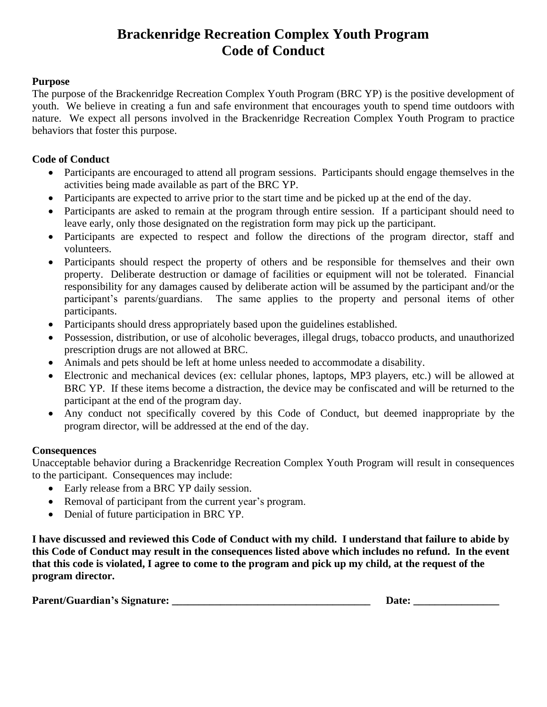### **Brackenridge Recreation Complex Youth Program Code of Conduct**

#### **Purpose**

The purpose of the Brackenridge Recreation Complex Youth Program (BRC YP) is the positive development of youth. We believe in creating a fun and safe environment that encourages youth to spend time outdoors with nature. We expect all persons involved in the Brackenridge Recreation Complex Youth Program to practice behaviors that foster this purpose.

#### **Code of Conduct**

- Participants are encouraged to attend all program sessions. Participants should engage themselves in the activities being made available as part of the BRC YP.
- Participants are expected to arrive prior to the start time and be picked up at the end of the day.
- Participants are asked to remain at the program through entire session. If a participant should need to leave early, only those designated on the registration form may pick up the participant.
- Participants are expected to respect and follow the directions of the program director, staff and volunteers.
- Participants should respect the property of others and be responsible for themselves and their own property. Deliberate destruction or damage of facilities or equipment will not be tolerated. Financial responsibility for any damages caused by deliberate action will be assumed by the participant and/or the participant's parents/guardians. The same applies to the property and personal items of other participants.
- Participants should dress appropriately based upon the guidelines established.
- Possession, distribution, or use of alcoholic beverages, illegal drugs, tobacco products, and unauthorized prescription drugs are not allowed at BRC.
- Animals and pets should be left at home unless needed to accommodate a disability.
- Electronic and mechanical devices (ex: cellular phones, laptops, MP3 players, etc.) will be allowed at BRC YP. If these items become a distraction, the device may be confiscated and will be returned to the participant at the end of the program day.
- Any conduct not specifically covered by this Code of Conduct, but deemed inappropriate by the program director, will be addressed at the end of the day.

#### **Consequences**

Unacceptable behavior during a Brackenridge Recreation Complex Youth Program will result in consequences to the participant. Consequences may include:

- Early release from a BRC YP daily session.
- Removal of participant from the current year's program.
- Denial of future participation in BRC YP.

**I have discussed and reviewed this Code of Conduct with my child. I understand that failure to abide by this Code of Conduct may result in the consequences listed above which includes no refund. In the event that this code is violated, I agree to come to the program and pick up my child, at the request of the program director.**

| <b>Parent/Guardian's Signature:</b> | Date. |
|-------------------------------------|-------|
|-------------------------------------|-------|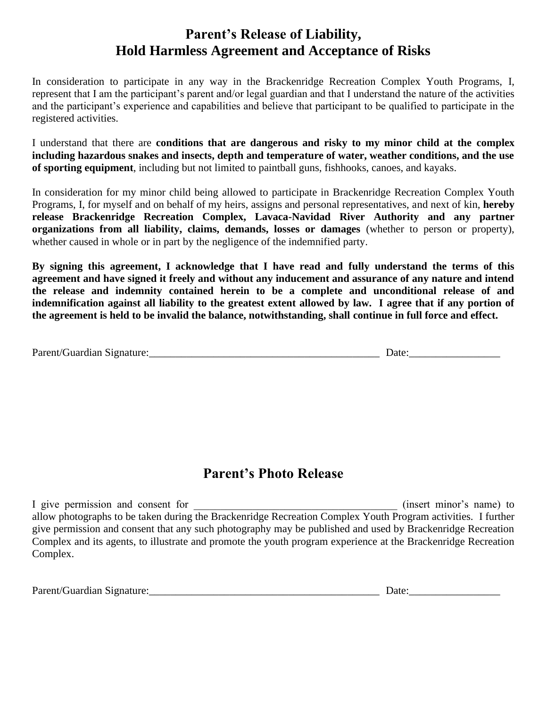## **Parent's Release of Liability, Hold Harmless Agreement and Acceptance of Risks**

In consideration to participate in any way in the Brackenridge Recreation Complex Youth Programs, I, represent that I am the participant's parent and/or legal guardian and that I understand the nature of the activities and the participant's experience and capabilities and believe that participant to be qualified to participate in the registered activities.

I understand that there are **conditions that are dangerous and risky to my minor child at the complex including hazardous snakes and insects, depth and temperature of water, weather conditions, and the use of sporting equipment**, including but not limited to paintball guns, fishhooks, canoes, and kayaks.

In consideration for my minor child being allowed to participate in Brackenridge Recreation Complex Youth Programs, I, for myself and on behalf of my heirs, assigns and personal representatives, and next of kin, **hereby release Brackenridge Recreation Complex, Lavaca-Navidad River Authority and any partner organizations from all liability, claims, demands, losses or damages** (whether to person or property), whether caused in whole or in part by the negligence of the indemnified party.

**By signing this agreement, I acknowledge that I have read and fully understand the terms of this agreement and have signed it freely and without any inducement and assurance of any nature and intend the release and indemnity contained herein to be a complete and unconditional release of and indemnification against all liability to the greatest extent allowed by law. I agree that if any portion of the agreement is held to be invalid the balance, notwithstanding, shall continue in full force and effect.**

| Parent/Guardian Signature: | Jate |
|----------------------------|------|
|                            |      |

#### **Parent's Photo Release**

I give permission and consent for  $\overline{a}$  (insert minor's name) to allow photographs to be taken during the Brackenridge Recreation Complex Youth Program activities. I further give permission and consent that any such photography may be published and used by Brackenridge Recreation Complex and its agents, to illustrate and promote the youth program experience at the Brackenridge Recreation Complex.

| Parent/Guardian Signature: | Jate |
|----------------------------|------|
|                            |      |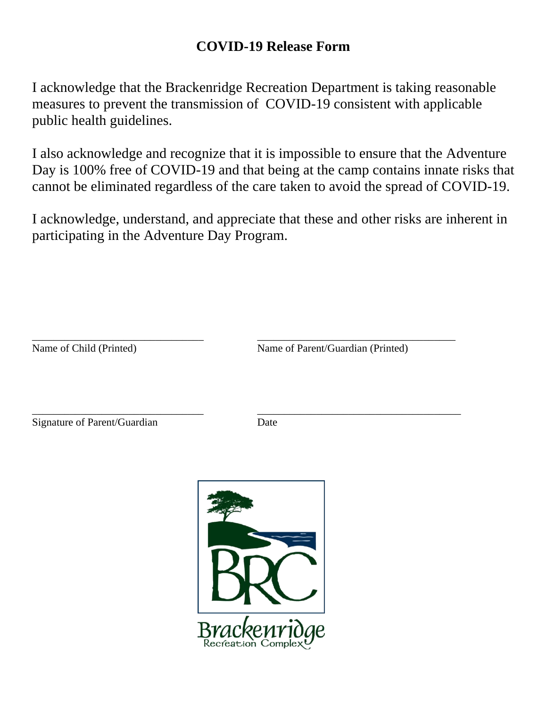## **COVID-19 Release Form**

I acknowledge that the Brackenridge Recreation Department is taking reasonable measures to prevent the transmission of COVID-19 consistent with applicable public health guidelines.

I also acknowledge and recognize that it is impossible to ensure that the Adventure Day is 100% free of COVID-19 and that being at the camp contains innate risks that cannot be eliminated regardless of the care taken to avoid the spread of COVID-19.

I acknowledge, understand, and appreciate that these and other risks are inherent in participating in the Adventure Day Program.

Name of Child (Printed) Name of Parent/Guardian (Printed)

Signature of Parent/Guardian Date

\_\_\_\_\_\_\_\_\_\_\_\_\_\_\_\_\_\_\_\_\_\_\_\_\_\_\_\_\_\_\_\_ \_\_\_\_\_\_\_\_\_\_\_\_\_\_\_\_\_\_\_\_\_\_\_\_\_\_\_\_\_\_\_\_\_\_\_\_\_

\_\_\_\_\_\_\_\_\_\_\_\_\_\_\_\_\_\_\_\_\_\_\_\_\_\_\_\_\_\_\_\_ \_\_\_\_\_\_\_\_\_\_\_\_\_\_\_\_\_\_\_\_\_\_\_\_\_\_\_\_\_\_\_\_\_\_\_\_\_\_